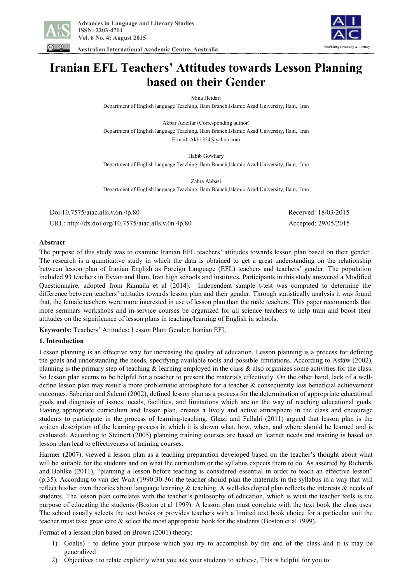



 **Australian International Academic Centre, Australia** 

# **Iranian EFL Teachers' Attitudes towards Lesson Planning based on their Gender**

Mina Heidari

Department of English language Teaching, Ilam Branch,Islamic Azad University, Ilam, Iran

Akbar Azizifar (Corresponding author) Department of English language Teaching, Ilam Branch,Islamic Azad University, Ilam, Iran E-mail: Akb1354@yahoo.com

Habib Gowhary Department of English language Teaching, Ilam Branch,Islamic Azad University, Ilam, Iran

Zahra Abbasi Department of English language Teaching, Ilam Branch,Islamic Azad University, Ilam, Iran

 Doi:10.7575/aiac.alls.v.6n.4p.80 Received: 18/03/2015 URL: http://dx.doi.org/10.7575/aiac.alls.v.6n.4p.80 Accepted: 29/05/2015

## **Abstract**

The purpose of this study was to examine Iranian EFL teachers' attitudes towards lesson plan based on their gender. The research is a quantitative study in which the data is obtained to get a great understanding on the relationship between lesson plan of Iranian English as Foreign Language (EFL) teachers and teachers' gender. The population included 93 teachers in Eyvan and Ilam, Iran high schools and institutes. Participants in this study answered a Modified Questionnaire, adopted from Ramaila et al (2014). Independent sample t-test was computed to determine the difference between teachers' attitudes towards lesson plan and their gender. Through statistically analysis it was found that, the female teachers were more interested in use of lesson plan than the male teachers. This paper recommends that more seminars workshops and in-service courses be organized for all science teachers to help train and boost their attitudes on the significance of lesson plans in teaching/learning of English in schools.

**Keywords:** Teachers' Attitudes; Lesson Plan; Gender; Iranian EFL

#### **1. Introduction**

Lesson planning is an effective way for increasing the quality of education. Lesson planning is a process for defining the goals and understanding the needs, specifying available tools and possible limitations. According to Asfaw (2002), planning is the primary step of teaching  $\&$  learning employed in the class  $\&$  also organizes some activities for the class. So lesson plan seems to be helpful for a teacher to present the materials effectively. On the other hand, lack of a welldefine lesson plan may result a more problematic atmosphere for a teacher & consequently less beneficial achievement outcomes. Saberian and Salemi (2002), defined lesson plan as a process for the determination of appropriate educational goals and diagnosis of issues, needs, facilities, and limitations which are on the way of reaching educational goals. Having appropriate curriculum and lesson plan, creates a lively and active atmosphere in the class and encourage students to participate in the process of learning-teaching. Ghazi and Fallahi (2011) argued that lesson plan is the written description of the learning process in which it is shown what, how, when, and where should be learned and is evaluated. According to Steinert (2005) planning training courses are based on learner needs and training is based on lesson plan lead to effectiveness of training courses.

Harmer (2007), viewed a lesson plan as a teaching preparation developed based on the teacher's thought about what will be suitable for the students and on what the curriculum or the syllabus expects them to do. As asserted by Richards and Bohlke (2011), "planning a lesson before teaching is considered essential in order to teach an effective lesson" (p.35). According to van der Walt (1990:30-36) the teacher should plan the materials in the syllabus in a way that will reflect his/her own theories about language learning & teaching. A well-developed plan reflects the interests & needs of students. The lesson plan correlates with the teacher's philosophy of education, which is what the teacher feels is the purpose of educating the students (Boston et al 1999). A lesson plan must correlate with the text book the class uses. The school usually selects the text books or provides teachers with a limited text book choice for a particular unit the teacher must take great care & select the most appropriate book for the students (Boston et al 1999).

Format of a lesson plan based on Brown (2001) theory:

- 1) Goal(s) : to define your purpose which you try to accomplish by the end of the class and it is may be generalized
- 2) Objectives : to relate explicitly what you ask your students to achieve, This is helpful for you to: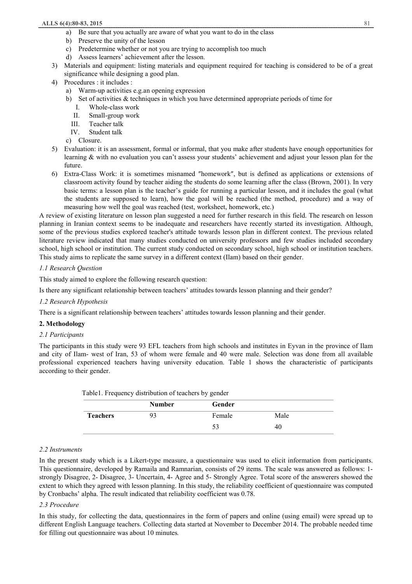- a) Be sure that you actually are aware of what you want to do in the class
- b) Preserve the unity of the lesson
- c) Predetermine whether or not you are trying to accomplish too much
- d) Assess learners' achievement after the lesson.
- 3) Materials and equipment: listing materials and equipment required for teaching is considered to be of a great significance while designing a good plan.
- 4) Procedures : it includes :
	- a) Warm-up activities e.g.an opening expression
	- b) Set of activities & techniques in which you have determined appropriate periods of time for
		- I. Whole-class work
		- II. Small-group work
		- III. Teacher talk
		- IV. Student talk
	- c) Closure.
- 5) Evaluation: it is an assessment, formal or informal, that you make after students have enough opportunities for learning & with no evaluation you can't assess your students' achievement and adjust your lesson plan for the future.
- 6) Extra-Class Work: it is sometimes misnamed ″homework″, but is defined as applications or extensions of classroom activity found by teacher aiding the students do some learning after the class (Brown, 2001). In very basic terms: a lesson plan is the teacher's guide for running a particular lesson, and it includes the goal (what the students are supposed to learn), how the goal will be reached (the method, procedure) and a way of measuring how well the goal was reached (test, worksheet, homework, etc.)

A review of existing literature on lesson plan suggested a need for further research in this field. The research on lesson planning in Iranian context seems to be inadequate and researchers have recently started its investigation. Although, some of the previous studies explored teacher's attitude towards lesson plan in different context. The previous related literature review indicated that many studies conducted on university professors and few studies included secondary school, high school or institution. The current study conducted on secondary school, high school or institution teachers. This study aims to replicate the same survey in a different context (Ilam) based on their gender.

## *1.1 Research Question*

This study aimed to explore the following research question:

Is there any significant relationship between teachers' attitudes towards lesson planning and their gender?

## *1.2 Research Hypothesis*

There is a significant relationship between teachers' attitudes towards lesson planning and their gender.

#### **2. Methodology**

#### *2.1 Participants*

The participants in this study were 93 EFL teachers from high schools and institutes in Eyvan in the province of Ilam and city of Ilam- west of Iran, 53 of whom were female and 40 were male. Selection was done from all available professional experienced teachers having university education. Table 1 shows the characteristic of participants according to their gender.

| Table 1. Frequency distribution of teachers by gender |               |        |      |  |
|-------------------------------------------------------|---------------|--------|------|--|
|                                                       | <b>Number</b> | Gender |      |  |
| <b>Teachers</b>                                       | 93            | Female | Male |  |
|                                                       |               | 53     | 40   |  |

#### *2.2 Instruments*

In the present study which is a Likert-type measure, a questionnaire was used to elicit information from participants. This questionnaire, developed by Ramaila and Ramnarian, consists of 29 items. The scale was answered as follows: 1 strongly Disagree, 2- Disagree, 3- Uncertain, 4- Agree and 5- Strongly Agree. Total score of the answerers showed the extent to which they agreed with lesson planning. In this study, the reliability coefficient of questionnaire was computed by Cronbachs' alpha. The result indicated that reliability coefficient was 0.78.

### *2.3 Procedure*

In this study, for collecting the data, questionnaires in the form of papers and online (using email) were spread up to different English Language teachers. Collecting data started at November to December 2014. The probable needed time for filling out questionnaire was about 10 minutes*.*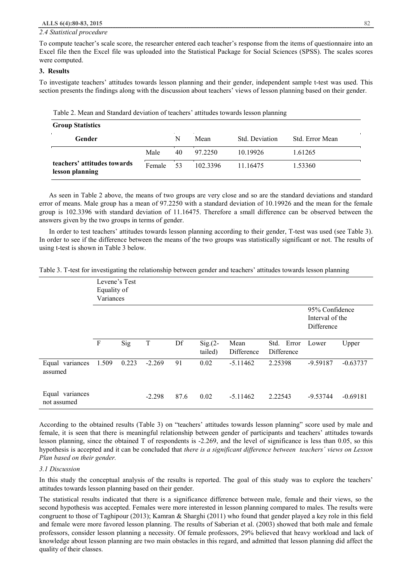#### *2.4 Statistical procedure*

To compute teacher's scale score, the researcher entered each teacher's response from the items of questionnaire into an Excel file then the Excel file was uploaded into the Statistical Package for Social Sciences (SPSS). The scales scores were computed.

#### **3. Results**

To investigate teachers' attitudes towards lesson planning and their gender, independent sample t-test was used. This section presents the findings along with the discussion about teachers' views of lesson planning based on their gender.

Table 2. Mean and Standard deviation of teachers' attitudes towards lesson planning

| <b>Group Statistics</b>                        |        |    |          |                |                 |  |  |  |
|------------------------------------------------|--------|----|----------|----------------|-----------------|--|--|--|
| Gender                                         |        | N  | Mean     | Std. Deviation | Std. Error Mean |  |  |  |
|                                                | Male   | 40 | 97 2250  | 10.19926       | 1.61265         |  |  |  |
| teachers' attitudes towards<br>lesson planning | Female | 53 | 102 3396 | 11.16475       | 1.53360         |  |  |  |

As seen in Table 2 above, the means of two groups are very close and so are the standard deviations and standard error of means. Male group has a mean of 97.2250 with a standard deviation of 10.19926 and the mean for the female group is 102.3396 with standard deviation of 11.16475. Therefore a small difference can be observed between the answers given by the two groups in terms of gender.

In order to test teachers' attitudes towards lesson planning according to their gender, T-test was used (see Table 3). In order to see if the difference between the means of the two groups was statistically significant or not. The results of using t-test is shown in Table 3 below.

| Table 3. T-test for investigating the relationship between gender and teachers' attitudes towards lesson planning |  |  |
|-------------------------------------------------------------------------------------------------------------------|--|--|
|-------------------------------------------------------------------------------------------------------------------|--|--|

|                                | Levene's Test<br>Equality of<br>Variances |       |          |      |                      |                    |                          |                                                 |            |
|--------------------------------|-------------------------------------------|-------|----------|------|----------------------|--------------------|--------------------------|-------------------------------------------------|------------|
|                                |                                           |       |          |      |                      |                    |                          | 95% Confidence<br>Interval of the<br>Difference |            |
|                                | F                                         | Sig   | T        | Df   | $Sig(2 -$<br>tailed) | Mean<br>Difference | Std. Error<br>Difference | Lower                                           | Upper      |
| Equal variances<br>assumed     | 1.509                                     | 0.223 | $-2.269$ | 91   | 0.02                 | $-5.11462$         | 2.25398                  | $-9.59187$                                      | $-0.63737$ |
| Equal variances<br>not assumed |                                           |       | $-2.298$ | 87.6 | 0.02                 | $-5.11462$         | 2.22543                  | $-9.53744$                                      | $-0.69181$ |

According to the obtained results (Table 3) on "teachers' attitudes towards lesson planning" score used by male and female, it is seen that there is meaningful relationship between gender of participants and teachers' attitudes towards lesson planning, since the obtained T of respondents is -2.269, and the level of significance is less than 0.05, so this hypothesis is accepted and it can be concluded that *there is a significant difference between teachers´ views on Lesson Plan based on their gender.* 

### *3.1 Discussion*

In this study the conceptual analysis of the results is reported. The goal of this study was to explore the teachers' attitudes towards lesson planning based on their gender.

The statistical results indicated that there is a significance difference between male, female and their views, so the second hypothesis was accepted. Females were more interested in lesson planning compared to males. The results were congruent to those of Taghipour (2013); Kamran & Sharghi (2011) who found that gender played a key role in this field and female were more favored lesson planning. The results of Saberian et al. (2003) showed that both male and female professors, consider lesson planning a necessity. Of female professors, 29% believed that heavy workload and lack of knowledge about lesson planning are two main obstacles in this regard, and admitted that lesson planning did affect the quality of their classes.